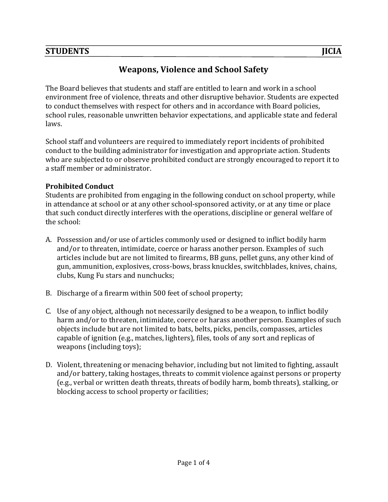# STUDENTS JICIA

# **Weapons, Violence and School Safety**

The Board believes that students and staff are entitled to learn and work in a school environment free of violence, threats and other disruptive behavior. Students are expected to conduct themselves with respect for others and in accordance with Board policies, school rules, reasonable unwritten behavior expectations, and applicable state and federal laws.

School staff and volunteers are required to immediately report incidents of prohibited conduct to the building administrator for investigation and appropriate action. Students who are subjected to or observe prohibited conduct are strongly encouraged to report it to a staff member or administrator.

#### **Prohibited Conduct**

Students are prohibited from engaging in the following conduct on school property, while in attendance at school or at any other school-sponsored activity, or at any time or place that such conduct directly interferes with the operations, discipline or general welfare of the school:

- A. Possession and/or use of articles commonly used or designed to inflict bodily harm and/or to threaten, intimidate, coerce or harass another person. Examples of such articles include but are not limited to firearms, BB guns, pellet guns, any other kind of gun, ammunition, explosives, cross-bows, brass knuckles, switchblades, knives, chains, clubs, Kung Fu stars and nunchucks;
- B. Discharge of a firearm within 500 feet of school property;
- C. Use of any object, although not necessarily designed to be a weapon, to inflict bodily harm and/or to threaten, intimidate, coerce or harass another person. Examples of such objects include but are not limited to bats, belts, picks, pencils, compasses, articles capable of ignition (e.g., matches, lighters), files, tools of any sort and replicas of weapons (including toys);
- D. Violent, threatening or menacing behavior, including but not limited to fighting, assault and/or battery, taking hostages, threats to commit violence against persons or property (e.g., verbal or written death threats, threats of bodily harm, bomb threats), stalking, or blocking access to school property or facilities;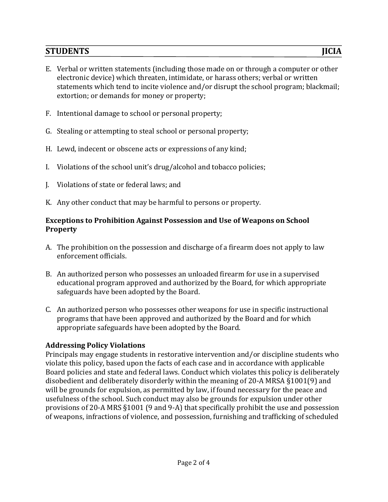## STUDENTS JICIA

- E. Verbal or written statements (including those made on or through a computer or other electronic device) which threaten, intimidate, or harass others; verbal or written statements which tend to incite violence and/or disrupt the school program; blackmail; extortion; or demands for money or property;
- F. Intentional damage to school or personal property;
- G. Stealing or attempting to steal school or personal property;
- H. Lewd, indecent or obscene acts or expressions of any kind;
- I. Violations of the school unit's drug/alcohol and tobacco policies;
- J. Violations of state or federal laws; and
- K. Any other conduct that may be harmful to persons or property.

### **Exceptions to Prohibition Against Possession and Use of Weapons on School Property**

- A. The prohibition on the possession and discharge of a firearm does not apply to law enforcement officials.
- B. An authorized person who possesses an unloaded firearm for use in a supervised educational program approved and authorized by the Board, for which appropriate safeguards have been adopted by the Board.
- C. An authorized person who possesses other weapons for use in specific instructional programs that have been approved and authorized by the Board and for which appropriate safeguards have been adopted by the Board.

### **Addressing Policy Violations**

Principals may engage students in restorative intervention and/or discipline students who violate this policy, based upon the facts of each case and in accordance with applicable Board policies and state and federal laws. Conduct which violates this policy is deliberately disobedient and deliberately disorderly within the meaning of 20-A MRSA  $\S 1001(9)$  and will be grounds for expulsion, as permitted by law, if found necessary for the peace and usefulness of the school. Such conduct may also be grounds for expulsion under other provisions of 20-A MRS §1001 (9 and 9-A) that specifically prohibit the use and possession of weapons, infractions of violence, and possession, furnishing and trafficking of scheduled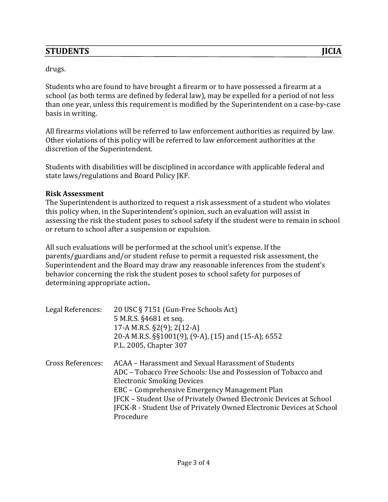Students who are found to have brought a firearm or to have possessed a firearm at a school (as both terms are defined by federal law), may be expelled for a period of not less than one year, unless this requirement is modified by the Superintendent on a case-by-case basis in writing.

All firearms violations will be referred to law enforcement authorities as required by law. Other violations of this policy will be referred to law enforcement authorities at the discretion of the Superintendent.

Students with disabilities will be disciplined in accordance with applicable federal and state laws/regulations and Board Policy JKF.

#### **Risk Assessment**

The Superintendent is authorized to request a risk assessment of a student who violates this policy when, in the Superintendent's opinion, such an evaluation will assist in assessing the risk the student poses to school safety if the student were to remain in school or return to school after a suspension or expulsion.

All such evaluations will be performed at the school unit's expense. If the parents/guardians and/or student refuse to permit a requested risk assessment, the Superintendent and the Board may draw any reasonable inferences from the student's behavior concerning the risk the student poses to school safety for purposes of determining appropriate action.

| Legal References:        | 20 USC § 7151 (Gun-Free Schools Act)<br>5 M.R.S. §4681 et seq.<br>17-A M.R.S. §2(9); 2(12-A)<br>20-A M.R.S. §§1001(9), (9-A), (15) and (15-A); 6552<br>P.L. 2005, Chapter 307                                                                                                                                                                                         |
|--------------------------|-----------------------------------------------------------------------------------------------------------------------------------------------------------------------------------------------------------------------------------------------------------------------------------------------------------------------------------------------------------------------|
| <b>Cross References:</b> | ACAA – Harassment and Sexual Harassment of Students<br>ADC – Tobacco Free Schools: Use and Possession of Tobacco and<br><b>Electronic Smoking Devices</b><br>EBC – Comprehensive Emergency Management Plan<br>JFCK - Student Use of Privately Owned Electronic Devices at School<br>JFCK-R - Student Use of Privately Owned Electronic Devices at School<br>Procedure |